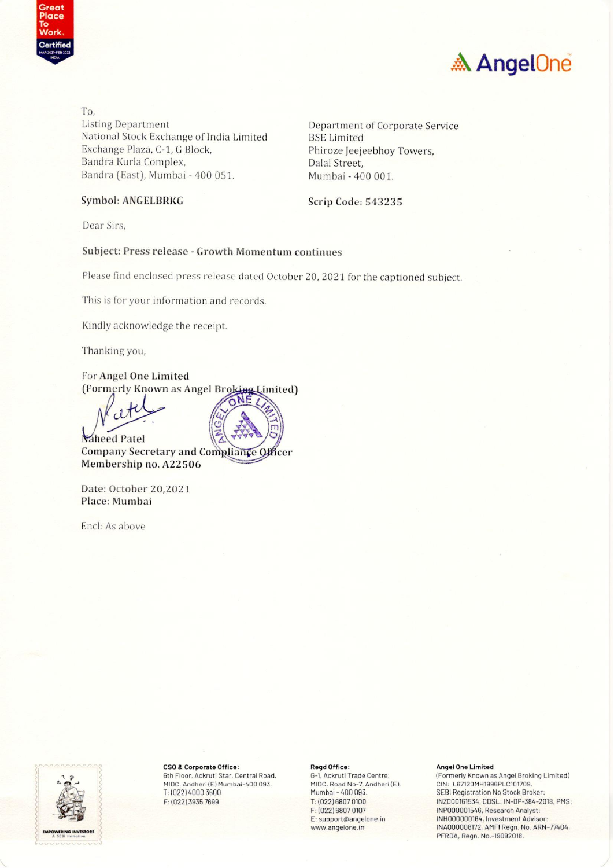



To. **Listing Department** National Stock Exchange of India Limited Exchange Plaza, C-1, G Block, Bandra Kurla Complex, Bandra (East), Mumbai - 400 051.

Department of Corporate Service **BSE** Limited Phiroze Jeejeebhoy Towers, Dalal Street. Mumbai - 400 001.

#### **Symbol: ANGELBRKG**

Scrip Code: 543235

Dear Sirs.

#### Subject: Press release - Growth Momentum continues

Please find enclosed press release dated October 20, 2021 for the captioned subject.

This is for your information and records.

Kindly acknowledge the receipt.

Thanking you,

For Angel One Limited (Formerly Known as Angel Broking Limited)

Naheed Patel Company Secretary and Compliance hcer Membership no. A22506

Date: October 20,2021 Place: Mumbai

Encl: As above



CSO & Corporate Office: 6th Floor, Ackruti Star, Central Road,

MIDC, Andheri (E) Mumbai-400 093. T: (022) 4000 3600 F: (022) 3935 7699

#### Regd Office:

G-1, Ackruti Trade Centre, MIDC, Road No-7, Andheri (E),<br>Mumbai - 400 093. T: (022) 6807 0100 F: (022) 6807 0107 E: support@angelone.in www.angelone.in

#### **Angel One Limited**

(Formerly Known as Angel Broking Limited) CIN: L67120MH1996PLC101709, SEBI Registration No Stock Broker: INZ000161534, CDSL: IN-DP-384-2018, PMS: INP000001546, Research Analyst: INH000000164, Investment Advisor INA000008172, AMFI Regn. No. ARN-77404, PFRDA, Regn. No.-19092018.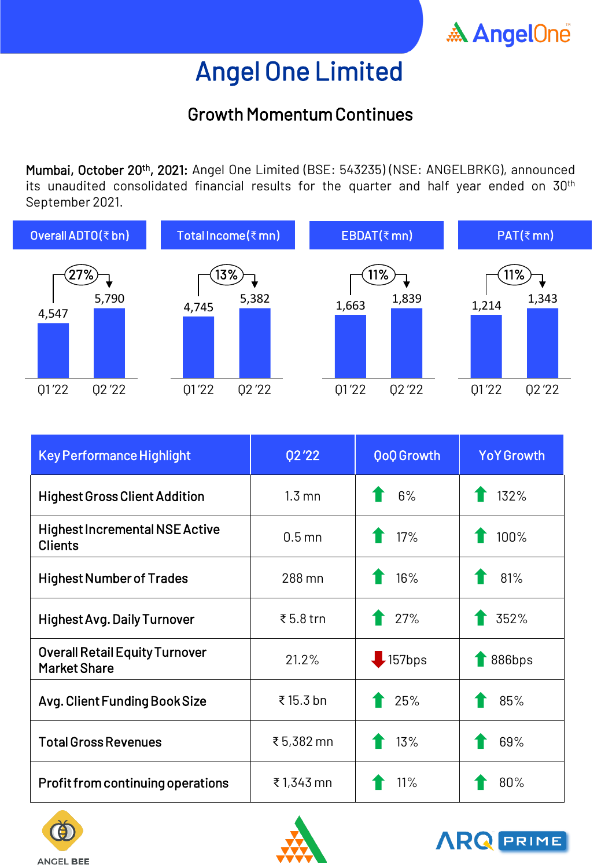

## Growth Momentum Continues

Mumbai, October 20<sup>th</sup>, 2021: Angel One Limited (BSE: 543235) (NSE: ANGELBRKG), announced its unaudited consolidated financial results for the quarter and half year ended on  $30<sup>th</sup>$ September 2021.



| <b>Key Performance Highlight</b>                             | 02'22            | <b>QoQ Growth</b> | <b>YoY Growth</b> |
|--------------------------------------------------------------|------------------|-------------------|-------------------|
| <b>Highest Gross Client Addition</b>                         | $1.3 \text{ mm}$ | 6%                | 132%              |
| <b>Highest Incremental NSE Active</b><br><b>Clients</b>      | $0.5$ mn         | 17%               | 100%              |
| <b>Highest Number of Trades</b>                              | 288 mn           | 16%               | 81%               |
| <b>Highest Avg. Daily Turnover</b>                           | ₹5.8 trn         | 27%               | 352%              |
| <b>Overall Retail Equity Turnover</b><br><b>Market Share</b> | 21.2%            | $\bigcup$ 157bps  | 886bps            |
| Avg. Client Funding Book Size                                | ₹15.3 bn         | 25%               | 85%               |
| <b>Total Gross Revenues</b>                                  | ₹5,382 mn        | 13%               | 69%               |
| Profit from continuing operations                            | ₹1,343 mn        | 11%               | 80%               |





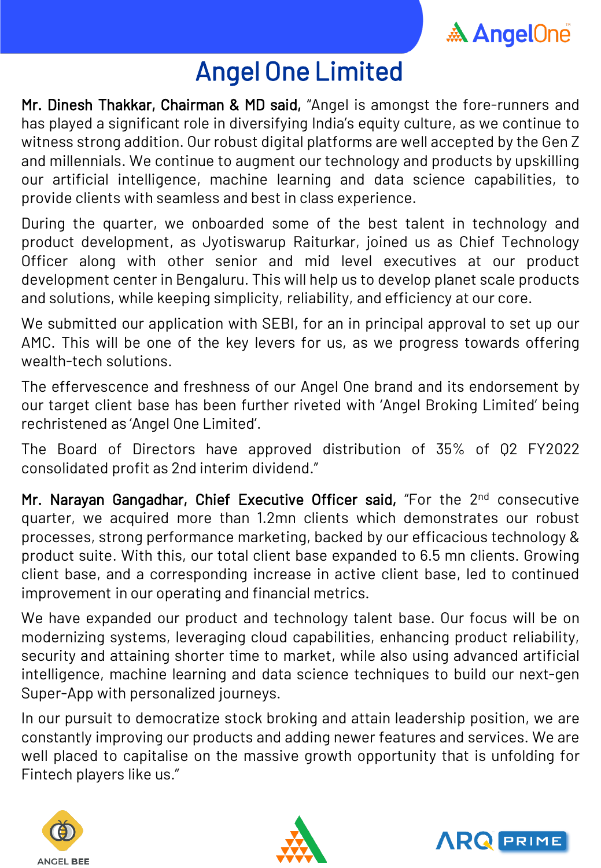

Mr. Dinesh Thakkar, Chairman & MD said, "Angel is amongst the fore-runners and has played a significant role in diversifying India's equity culture, as we continue to witness strong addition. Our robust digital platforms are well accepted by the Gen Z and millennials. We continue to augment our technology and products by upskilling our artificial intelligence, machine learning and data science capabilities, to provide clients with seamless and best in class experience.

During the quarter, we onboarded some of the best talent in technology and product development, as Jyotiswarup Raiturkar, joined us as Chief Technology Officer along with other senior and mid level executives at our product development center in Bengaluru. This will help us to develop planet scale products and solutions, while keeping simplicity, reliability, and efficiency at our core.

We submitted our application with SEBI, for an in principal approval to set up our AMC. This will be one of the key levers for us, as we progress towards offering wealth-tech solutions.

The effervescence and freshness of our Angel One brand and its endorsement by our target client base has been further riveted with 'Angel Broking Limited' being rechristened as 'Angel One Limited'.

The Board of Directors have approved distribution of 35% of Q2 FY2022 consolidated profit as 2nd interim dividend."

Mr. Narayan Gangadhar, Chief Executive Officer said, "For the 2<sup>nd</sup> consecutive quarter, we acquired more than 1.2mn clients which demonstrates our robust processes, strong performance marketing, backed by our efficacious technology & product suite. With this, our total client base expanded to 6.5 mn clients. Growing client base, and a corresponding increase in active client base, led to continued improvement in our operating and financial metrics.

We have expanded our product and technology talent base. Our focus will be on modernizing systems, leveraging cloud capabilities, enhancing product reliability, security and attaining shorter time to market, while also using advanced artificial intelligence, machine learning and data science techniques to build our next-gen Super-App with personalized journeys.

In our pursuit to democratize stock broking and attain leadership position, we are constantly improving our products and adding newer features and services. We are well placed to capitalise on the massive growth opportunity that is unfolding for Fintech players like us."





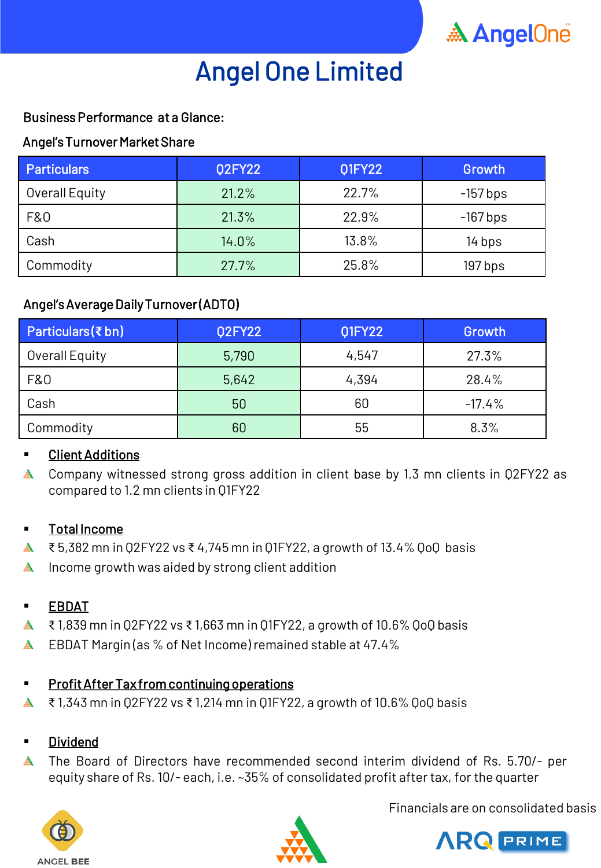

### Business Performance at a Glance:

#### Angel's Turnover Market Share

| <b>Particulars</b> | <b>Q2FY22</b> | 01FY22 | Growth     |
|--------------------|---------------|--------|------------|
| Overall Equity     | 21.2%         | 22.7%  | $-157$ bps |
| F&0                | 21.3%         | 22.9%  | $-167$ bps |
| Cash               | 14.0%         | 13.8%  | 14 bps     |
| Commodity          | 27.7%         | 25.8%  | 197 bps    |

### Angel's Average Daily Turnover (ADTO)

| Particulars $(\bar{\tau}$ bn) | <b>Q2FY22</b> | 01FY22 | Growth   |
|-------------------------------|---------------|--------|----------|
| Overall Equity                | 5,790         | 4,547  | 27.3%    |
| F&0                           | 5,642         | 4,394  | 28.4%    |
| Cash                          | 50            | 60     | $-17.4%$ |
| Commodity                     | 60            | 55     | 8.3%     |

### **Client Additions**

◬ Company witnessed strong gross addition in client base by 1.3 mn clients in Q2FY22 as compared to 1.2 mn clients in Q1FY22

#### Total Income

- $\clubsuit$  ₹ 5,382 mn in Q2FY22 vs ₹ 4,745 mn in Q1FY22, a growth of 13.4% QoQ basis
- $\triangle$  Income growth was aided by strong client addition

### **EBDAT**

- $\triangle$  ₹ 1,839 mn in Q2FY22 vs ₹ 1,663 mn in Q1FY22, a growth of 10.6% QoQ basis
- $\mathbb{A}$ EBDAT Margin (as % of Net Income) remained stable at 47.4%

### **Profit After Tax from continuing operations**

₹ 1,343 mn in Q2FY22 vs ₹ 1,214 mn in Q1FY22, a growth of 10.6% QoQ basis  $\mathbb{A}$ 

#### Dividend

 $\mathbb{A}$ The Board of Directors have recommended second interim dividend of Rs. 5.70/- per equity share of Rs. 10/- each, i.e. ~35% of consolidated profit aftertax, for the quarter





Financials are on consolidated basis